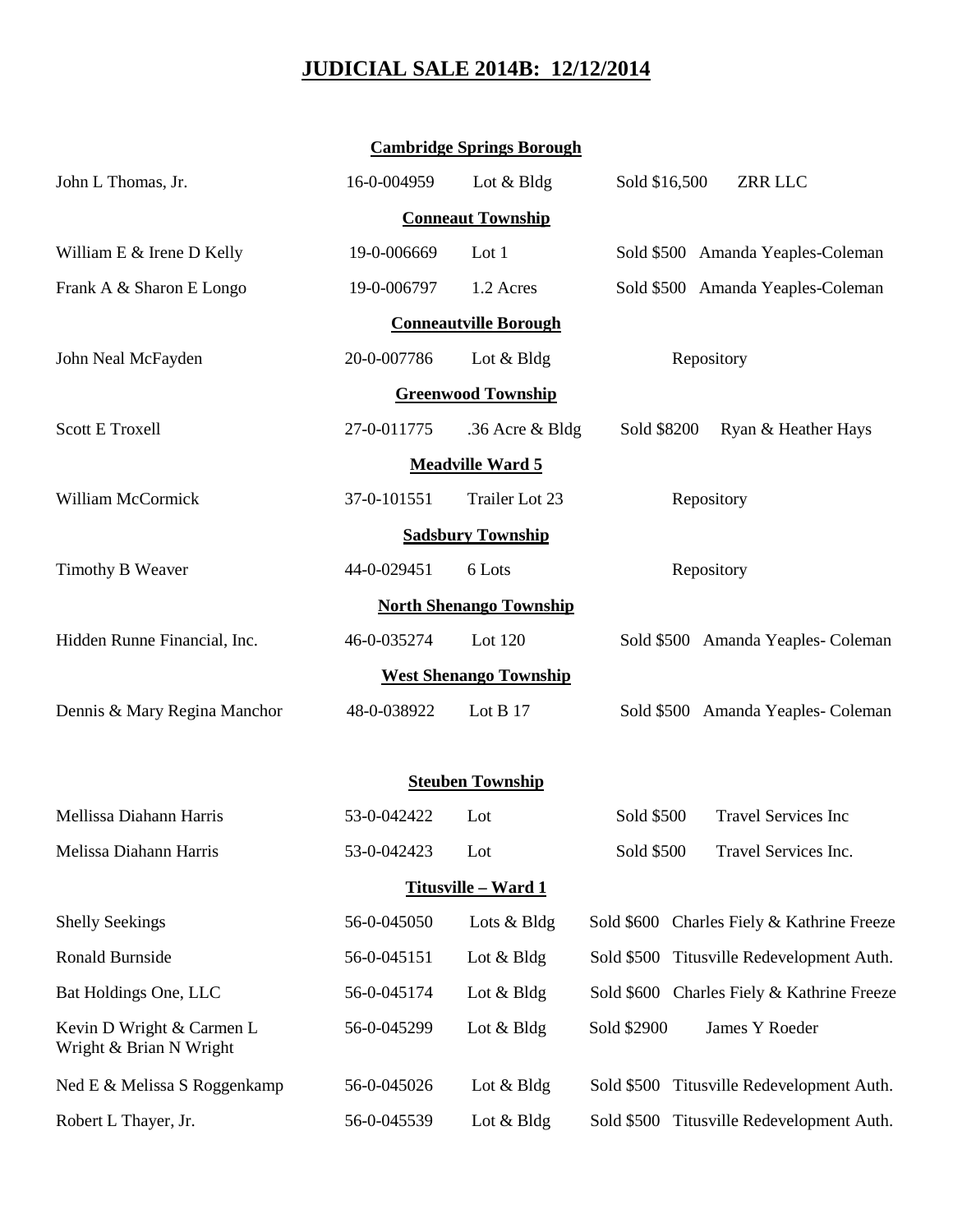## **JUDICIAL SALE 2014B: 12/12/2014**

| <b>Cambridge Springs Borough</b>                     |             |                 |                                              |  |  |  |
|------------------------------------------------------|-------------|-----------------|----------------------------------------------|--|--|--|
| John L Thomas, Jr.                                   | 16-0-004959 | Lot & Bldg      | Sold \$16,500<br>ZRR LLC                     |  |  |  |
| <b>Conneaut Township</b>                             |             |                 |                                              |  |  |  |
| William E & Irene D Kelly                            | 19-0-006669 | Lot 1           | Sold \$500 Amanda Yeaples-Coleman            |  |  |  |
| Frank A & Sharon E Longo                             | 19-0-006797 | 1.2 Acres       | Sold \$500 Amanda Yeaples-Coleman            |  |  |  |
| <b>Conneautville Borough</b>                         |             |                 |                                              |  |  |  |
| John Neal McFayden                                   | 20-0-007786 | Lot & Bldg      | Repository                                   |  |  |  |
| <b>Greenwood Township</b>                            |             |                 |                                              |  |  |  |
| <b>Scott E Troxell</b>                               | 27-0-011775 | .36 Acre & Bldg | Sold \$8200<br>Ryan & Heather Hays           |  |  |  |
| <b>Meadville Ward 5</b>                              |             |                 |                                              |  |  |  |
| William McCormick                                    | 37-0-101551 | Trailer Lot 23  | Repository                                   |  |  |  |
| <b>Sadsbury Township</b>                             |             |                 |                                              |  |  |  |
| Timothy B Weaver                                     | 44-0-029451 | 6 Lots          | Repository                                   |  |  |  |
| <b>North Shenango Township</b>                       |             |                 |                                              |  |  |  |
| Hidden Runne Financial, Inc.                         | 46-0-035274 | Lot 120         | Sold \$500 Amanda Yeaples- Coleman           |  |  |  |
| <b>West Shenango Township</b>                        |             |                 |                                              |  |  |  |
| Dennis & Mary Regina Manchor                         | 48-0-038922 | Lot B 17        | Sold \$500 Amanda Yeaples- Coleman           |  |  |  |
|                                                      |             |                 |                                              |  |  |  |
| <b>Steuben Township</b>                              |             |                 |                                              |  |  |  |
| Mellissa Diahann Harris                              | 53-0-042422 | Lot             | <b>Travel Services Inc</b><br>Sold \$500     |  |  |  |
| Melissa Diahann Harris                               | 53-0-042423 | Lot             | Sold \$500<br>Travel Services Inc.           |  |  |  |
| <b>Titusville - Ward 1</b>                           |             |                 |                                              |  |  |  |
| <b>Shelly Seekings</b>                               | 56-0-045050 | Lots & Bldg     | Sold \$600 Charles Fiely & Kathrine Freeze   |  |  |  |
| Ronald Burnside                                      | 56-0-045151 | Lot $& Bldg$    | Sold \$500 Titusville Redevelopment Auth.    |  |  |  |
| Bat Holdings One, LLC                                | 56-0-045174 | Lot $& Bldg$    | Sold \$600 Charles Fiely & Kathrine Freeze   |  |  |  |
| Kevin D Wright & Carmen L<br>Wright & Brian N Wright | 56-0-045299 | Lot $& B \, dg$ | Sold \$2900<br>James Y Roeder                |  |  |  |
| Ned E & Melissa S Roggenkamp                         | 56-0-045026 | Lot & Bldg      | Titusville Redevelopment Auth.<br>Sold \$500 |  |  |  |
| Robert L Thayer, Jr.                                 | 56-0-045539 | Lot $& B \, dg$ | Sold \$500 Titusville Redevelopment Auth.    |  |  |  |